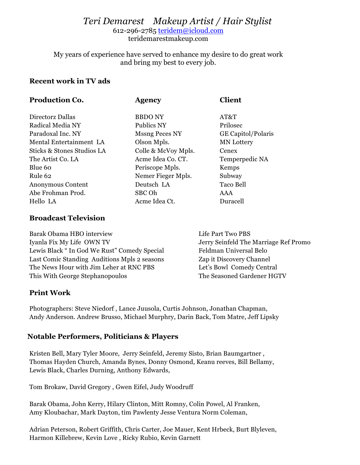# *Teri Demarest Makeup Artist / Hair Stylist* 612-296-2785 teridem@icloud.com

teridemarestmakeup.com

My years of experience have served to enhance my desire to do great work and bring my best to every job.

#### **Recent work in TV ads**

| Production Co.             | <b>Agency</b>         | <b>Client</b>             |
|----------------------------|-----------------------|---------------------------|
| Directorz Dallas           | <b>BBDONY</b>         | AT&T                      |
| Radical Media NY           | Publics NY            | Prilosec                  |
| Paradoxal Inc. NY          | <b>Mssng Peces NY</b> | <b>GE Capitol/Polaris</b> |
| Mental Entertainment LA    | Olson Mpls.           | <b>MN</b> Lottery         |
| Sticks & Stones Studios LA | Colle & McVoy Mpls.   | Cenex                     |
| The Artist Co. LA          | Acme Idea Co. CT.     | Temperpedic NA            |
| Blue 60                    | Periscope Mpls.       | Kemps                     |
| Rule 62                    | Nemer Fieger Mpls.    | Subway                    |
| Anonymous Content          | Deutsch LA            | Taco Bell                 |
| Abe Frohman Prod.          | SBC Oh                | AAA                       |
| Hello LA                   | Acme Idea Ct.         | Duracell                  |

#### **Broadcast Television**

Barak Obama HBO interview The Contract of the Part Two PBS Iyanla Fix My Life OWN TV Jerry Seinfeld The Marriage Ref Promo Lewis Black " In God We Rust" Comedy Special Feldman Universal Belo Last Comic Standing Auditions Mpls 2 seasons Zap it Discovery Channel The News Hour with Jim Leher at RNC PBS Let's Bowl Comedy Central This With George Stephanopoulos The Seasoned Gardener HGTV

## **Print Work**

Photographers: Steve Niedorf , Lance Juusola, Curtis Johnson, Jonathan Chapman, Andy Anderson. Andrew Brusso, Michael Murphry, Darin Back, Tom Matre, Jeff Lipsky

## **Notable Performers, Politicians & Players**

Kristen Bell, Mary Tyler Moore, Jerry Seinfeld, Jeremy Sisto, Brian Baumgartner , Thomas Hayden Church, Amanda Bynes, Donny Osmond, Keanu reeves, Bill Bellamy, Lewis Black, Charles Durning, Anthony Edwards,

Tom Brokaw, David Gregory , Gwen Eifel, Judy Woodruff

Barak Obama, John Kerry, Hilary Clinton, Mitt Romny, Colin Powel, Al Franken, Amy Kloubachar, Mark Dayton, tim Pawlenty Jesse Ventura Norm Coleman,

Adrian Peterson, Robert Griffith, Chris Carter, Joe Mauer, Kent Hrbeck, Burt Blyleven, Harmon Killebrew, Kevin Love , Ricky Rubio, Kevin Garnett